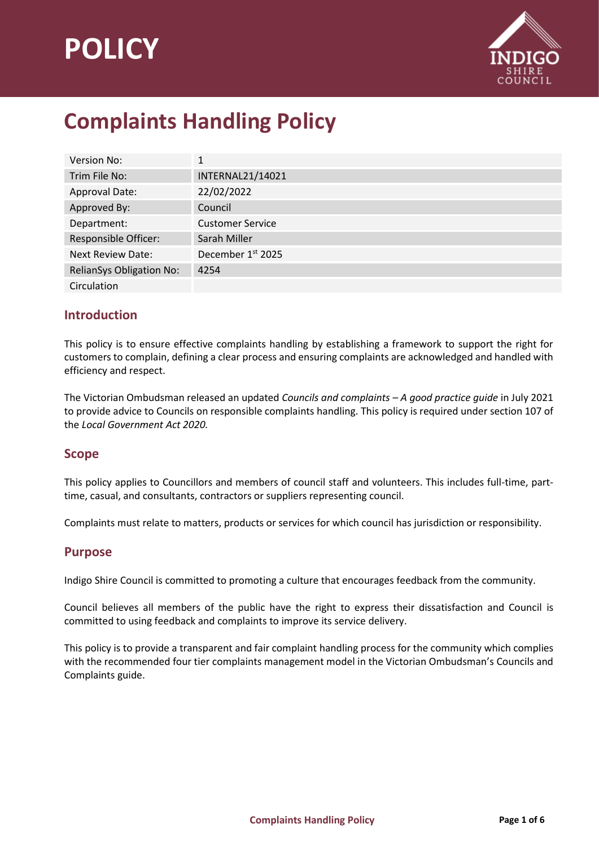# **POLICY**



# **Complaints Handling Policy**

| <b>Version No:</b>              | 1                       |
|---------------------------------|-------------------------|
| Trim File No:                   | <b>INTERNAL21/14021</b> |
| Approval Date:                  | 22/02/2022              |
| Approved By:                    | Council                 |
| Department:                     | <b>Customer Service</b> |
| <b>Responsible Officer:</b>     | Sarah Miller            |
| <b>Next Review Date:</b>        | December 1st 2025       |
| <b>RelianSys Obligation No:</b> | 4254                    |
| Circulation                     |                         |

# **Introduction**

This policy is to ensure effective complaints handling by establishing a framework to support the right for customers to complain, defining a clear process and ensuring complaints are acknowledged and handled with efficiency and respect.

The Victorian Ombudsman released an updated *Councils and complaints – A good practice guide* in July 2021 to provide advice to Councils on responsible complaints handling. This policy is required under section 107 of the *Local Government Act 2020.*

#### **Scope**

This policy applies to Councillors and members of council staff and volunteers. This includes full-time, parttime, casual, and consultants, contractors or suppliers representing council.

Complaints must relate to matters, products or services for which council has jurisdiction or responsibility.

#### **Purpose**

Indigo Shire Council is committed to promoting a culture that encourages feedback from the community.

Council believes all members of the public have the right to express their dissatisfaction and Council is committed to using feedback and complaints to improve its service delivery.

This policy is to provide a transparent and fair complaint handling process for the community which complies with the recommended four tier complaints management model in the Victorian Ombudsman's Councils and Complaints guide.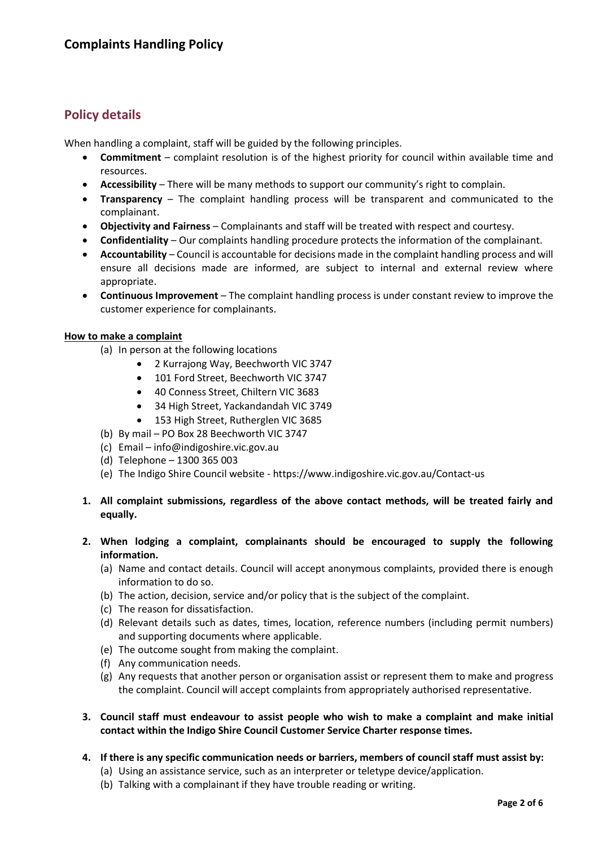# **Policy details**

When handling a complaint, staff will be guided by the following principles.

- **Commitment** complaint resolution is of the highest priority for council within available time and resources.
- **Accessibility**  There will be many methods to support our community's right to complain.
- **Transparency**  The complaint handling process will be transparent and communicated to the complainant.
- **Objectivity and Fairness** Complainants and staff will be treated with respect and courtesy.
- **Confidentiality**  Our complaints handling procedure protects the information of the complainant.
- **Accountability** Council is accountable for decisions made in the complaint handling process and will ensure all decisions made are informed, are subject to internal and external review where appropriate.
- **Continuous Improvement** The complaint handling process is under constant review to improve the customer experience for complainants.

#### **How to make a complaint**

- (a) In person at the following locations
	- 2 Kurrajong Way, Beechworth VIC 3747
	- 101 Ford Street, Beechworth VIC 3747
	- 40 Conness Street, Chiltern VIC 3683
	- 34 High Street, Yackandandah VIC 3749
	- 153 High Street, Rutherglen VIC 3685
- (b) By mail PO Box 28 Beechworth VIC 3747
- (c) Email info@indigoshire.vic.gov.au
- (d) Telephone 1300 365 003
- (e) The Indigo Shire Council website https://www.indigoshire.vic.gov.au/Contact-us
- **1. All complaint submissions, regardless of the above contact methods, will be treated fairly and equally.**
- **2. When lodging a complaint, complainants should be encouraged to supply the following information.**
	- (a) Name and contact details. Council will accept anonymous complaints, provided there is enough information to do so.
	- (b) The action, decision, service and/or policy that is the subject of the complaint.
	- (c) The reason for dissatisfaction.
	- (d) Relevant details such as dates, times, location, reference numbers (including permit numbers) and supporting documents where applicable.
	- (e) The outcome sought from making the complaint.
	- (f) Any communication needs.
	- (g) Any requests that another person or organisation assist or represent them to make and progress the complaint. Council will accept complaints from appropriately authorised representative.
- **3. Council staff must endeavour to assist people who wish to make a complaint and make initial contact within the Indigo Shire Council Customer Service Charter response times.**
- **4. If there is any specific communication needs or barriers, members of council staff must assist by:**
	- (a) Using an assistance service, such as an interpreter or teletype device/application.
	- (b) Talking with a complainant if they have trouble reading or writing.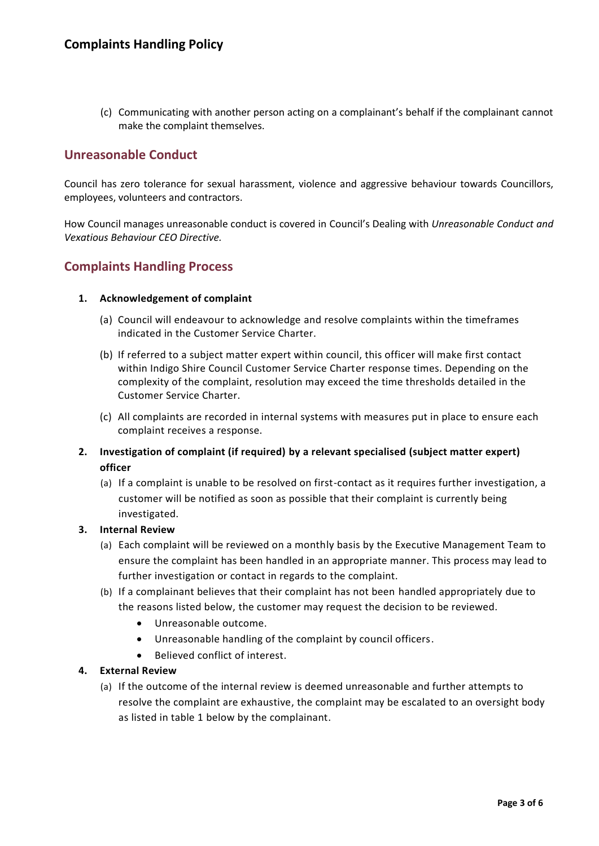(c) Communicating with another person acting on a complainant's behalf if the complainant cannot make the complaint themselves.

## **Unreasonable Conduct**

Council has zero tolerance for sexual harassment, violence and aggressive behaviour towards Councillors, employees, volunteers and contractors.

How Council manages unreasonable conduct is covered in Council's Dealing with *Unreasonable Conduct and Vexatious Behaviour CEO Directive.*

#### **Complaints Handling Process**

#### **1. Acknowledgement of complaint**

- (a) Council will endeavour to acknowledge and resolve complaints within the timeframes indicated in the Customer Service Charter.
- (b) If referred to a subject matter expert within council, this officer will make first contact within Indigo Shire Council Customer Service Charter response times. Depending on the complexity of the complaint, resolution may exceed the time thresholds detailed in the Customer Service Charter.
- (c) All complaints are recorded in internal systems with measures put in place to ensure each complaint receives a response.
- **2. Investigation of complaint (if required) by a relevant specialised (subject matter expert) officer**
	- (a) If a complaint is unable to be resolved on first-contact as it requires further investigation, a customer will be notified as soon as possible that their complaint is currently being investigated.

#### **3. Internal Review**

- (a) Each complaint will be reviewed on a monthly basis by the Executive Management Team to ensure the complaint has been handled in an appropriate manner. This process may lead to further investigation or contact in regards to the complaint.
- (b) If a complainant believes that their complaint has not been handled appropriately due to the reasons listed below, the customer may request the decision to be reviewed.
	- Unreasonable outcome.
	- Unreasonable handling of the complaint by council officers.
	- Believed conflict of interest.

#### **4. External Review**

(a) If the outcome of the internal review is deemed unreasonable and further attempts to resolve the complaint are exhaustive, the complaint may be escalated to an oversight body as listed in table 1 below by the complainant.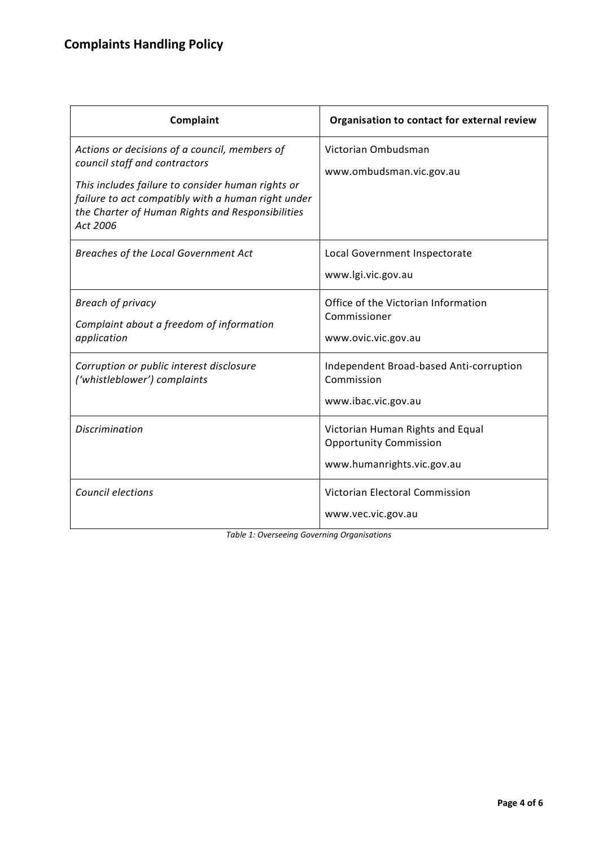| Complaint                                                                                                                                                                                                                                                 | Organisation to contact for external review                                                     |
|-----------------------------------------------------------------------------------------------------------------------------------------------------------------------------------------------------------------------------------------------------------|-------------------------------------------------------------------------------------------------|
| Actions or decisions of a council, members of<br>council staff and contractors<br>This includes failure to consider human rights or<br>failure to act compatibly with a human right under<br>the Charter of Human Rights and Responsibilities<br>Act 2006 | Victorian Ombudsman<br>www.ombudsman.vic.gov.au                                                 |
| Breaches of the Local Government Act                                                                                                                                                                                                                      | Local Government Inspectorate<br>www.lgi.vic.gov.au                                             |
| <b>Breach of privacy</b><br>Complaint about a freedom of information<br>application                                                                                                                                                                       | Office of the Victorian Information<br>Commissioner<br>www.ovic.vic.gov.au                      |
| Corruption or public interest disclosure<br>('whistleblower') complaints                                                                                                                                                                                  | Independent Broad-based Anti-corruption<br>Commission<br>www.ibac.vic.gov.au                    |
| <b>Discrimination</b>                                                                                                                                                                                                                                     | Victorian Human Rights and Equal<br><b>Opportunity Commission</b><br>www.humanrights.vic.gov.au |
| Council elections                                                                                                                                                                                                                                         | Victorian Electoral Commission<br>www.vec.vic.gov.au                                            |

*Table 1: Overseeing Governing Organisations*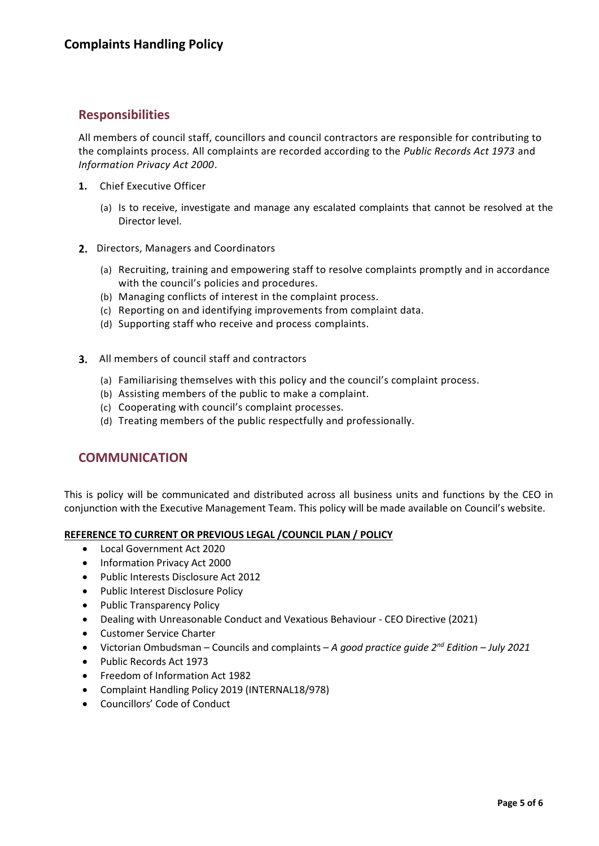#### **Responsibilities**

All members of council staff, councillors and council contractors are responsible for contributing to the complaints process. All complaints are recorded according to the *Public Records Act 1973* and *Information Privacy Act 2000*.

- **1.** Chief Executive Officer
	- (a) Is to receive, investigate and manage any escalated complaints that cannot be resolved at the Director level.
- 2. Directors, Managers and Coordinators
	- (a) Recruiting, training and empowering staff to resolve complaints promptly and in accordance with the council's policies and procedures.
	- (b) Managing conflicts of interest in the complaint process.
	- (c) Reporting on and identifying improvements from complaint data.
	- (d) Supporting staff who receive and process complaints.
- 3. All members of council staff and contractors
	- (a) Familiarising themselves with this policy and the council's complaint process.
	- (b) Assisting members of the public to make a complaint.
	- (c) Cooperating with council's complaint processes.
	- (d) Treating members of the public respectfully and professionally.

## **COMMUNICATION**

This is policy will be communicated and distributed across all business units and functions by the CEO in conjunction with the Executive Management Team. This policy will be made available on Council's website.

#### **REFERENCE TO CURRENT OR PREVIOUS LEGAL /COUNCIL PLAN / POLICY**

- Local Government Act 2020
- Information Privacy Act 2000
- Public Interests Disclosure Act 2012
- Public Interest Disclosure Policy
- Public Transparency Policy
- Dealing with Unreasonable Conduct and Vexatious Behaviour CEO Directive (2021)
- Customer Service Charter
- Victorian Ombudsman Councils and complaints *A good practice guide 2nd Edition – July 2021*
- Public Records Act 1973
- Freedom of Information Act 1982
- Complaint Handling Policy 2019 (INTERNAL18/978)
- Councillors' Code of Conduct